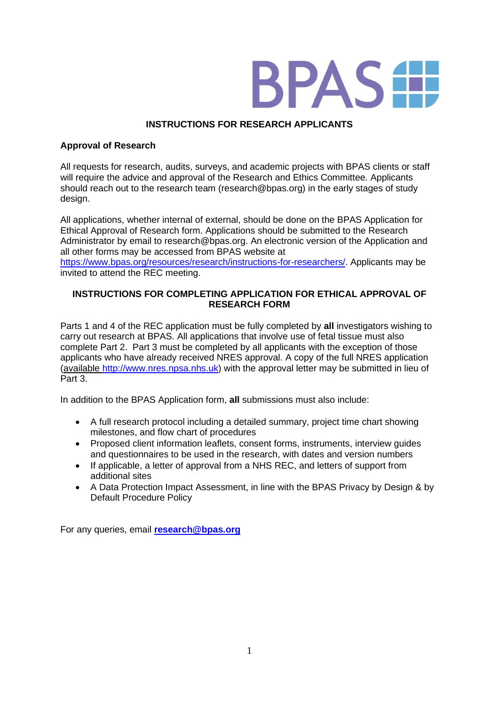

# **INSTRUCTIONS FOR RESEARCH APPLICANTS**

## **Approval of Research**

All requests for research, audits, surveys, and academic projects with BPAS clients or staff will require the advice and approval of the Research and Ethics Committee. Applicants should reach out to the research team (research@bpas.org) in the early stages of study design.

All applications, whether internal of external, should be done on the BPAS Application for Ethical Approval of Research form. Applications should be submitted to the Research Administrator by email to research@bpas.org. An electronic version of the Application and all other forms may be accessed from BPAS website at [https://www.bpas.org/resources/research/instructions-for-researchers/.](https://www.bpas.org/resources/research/instructions-for-researchers/) Applicants may be invited to attend the REC meeting.

## **INSTRUCTIONS FOR COMPLETING APPLICATION FOR ETHICAL APPROVAL OF RESEARCH FORM**

Parts 1 and 4 of the REC application must be fully completed by **all** investigators wishing to carry out research at BPAS. All applications that involve use of fetal tissue must also complete Part 2. Part 3 must be completed by all applicants with the exception of those applicants who have already received NRES approval. A copy of the full NRES application (available [http://www.nres.npsa.nhs.uk\)](http://www.nres.npsa.nhs.uk/) with the approval letter may be submitted in lieu of Part 3.

In addition to the BPAS Application form, **all** submissions must also include:

- A full research protocol including a detailed summary, project time chart showing milestones, and flow chart of procedures
- Proposed client information leaflets, consent forms, instruments, interview guides and questionnaires to be used in the research, with dates and version numbers
- If applicable, a letter of approval from a NHS REC, and letters of support from additional sites
- A Data Protection Impact Assessment, in line with the BPAS Privacy by Design & by Default Procedure Policy

For any queries, email **[research@bpas.org](mailto:research@bpas.org)**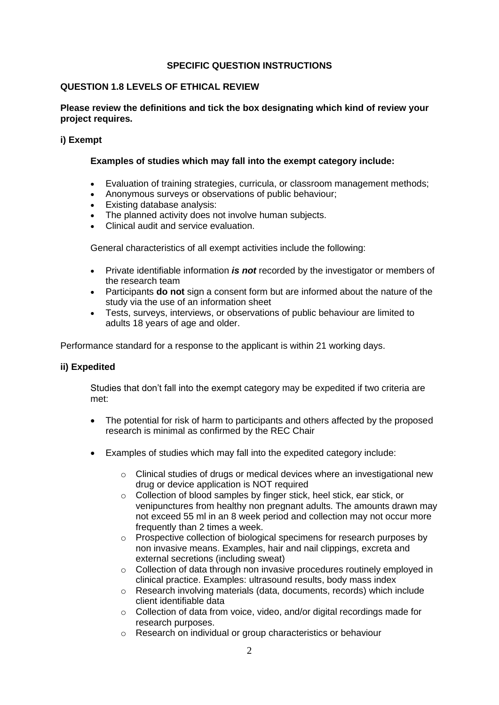#### **SPECIFIC QUESTION INSTRUCTIONS**

#### **QUESTION 1.8 LEVELS OF ETHICAL REVIEW**

#### **Please review the definitions and tick the box designating which kind of review your project requires.**

#### **i) Exempt**

#### **Examples of studies which may fall into the exempt category include:**

- Evaluation of [training strategies, curricula, or classroom management methods;](http://www.irb.pitt.edu/Exempt/edstrat.htm)
- [Anonymous surveys or observations of public behaviour;](http://www.irb.pitt.edu/Exempt/testsurveys.htm)
- Existing database analysis:
- The planned activity does not involve human [subjects.](http://www.irb.pitt.edu/Exempt/Forms/OSIRIS_No_Human_Subj_041707_103108.doc)
- Clinical audit and service evaluation.

General characteristics of all exempt activities include the following:

- Private identifiable information *is not* recorded by the investigator or members of the research team
- Participants **do not** sign a consent form but are informed about the nature of the study via the use of an information sheet
- Tests, surveys, interviews, or observations of public behaviour are limited to adults 18 years of age and older.

Performance standard for a response to the applicant is within 21 working days.

#### **ii) Expedited**

Studies that don't fall into the exempt category may be expedited if two criteria are met:

- The potential for risk of harm to participants and others affected by the proposed research is minimal as confirmed by the REC Chair
- Examples of studies which may fall into the expedited category include:
	- $\circ$  Clinical studies of drugs or medical devices where an investigational new drug or device application is NOT required
	- o Collection of blood samples by finger stick, heel stick, ear stick, or venipunctures from healthy non pregnant adults. The amounts drawn may not exceed 55 ml in an 8 week period and collection may not occur more frequently than 2 times a week.
	- o Prospective collection of biological specimens for research purposes by non invasive means. Examples, hair and nail clippings, excreta and external secretions (including sweat)
	- o Collection of data through non invasive procedures routinely employed in clinical practice. Examples: ultrasound results, body mass index
	- o Research involving materials (data, documents, records) which include client identifiable data
	- o Collection of data from voice, video, and/or digital recordings made for research purposes.
	- o Research on individual or group characteristics or behaviour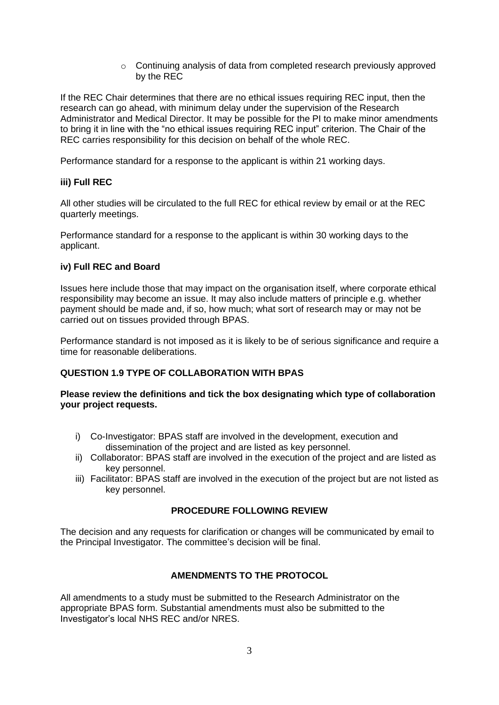$\circ$  Continuing analysis of data from completed research previously approved by the REC

If the REC Chair determines that there are no ethical issues requiring REC input, then the research can go ahead, with minimum delay under the supervision of the Research Administrator and Medical Director. It may be possible for the PI to make minor amendments to bring it in line with the "no ethical issues requiring REC input" criterion. The Chair of the REC carries responsibility for this decision on behalf of the whole REC.

Performance standard for a response to the applicant is within 21 working days.

## **iii) Full REC**

All other studies will be circulated to the full REC for ethical review by email or at the REC quarterly meetings.

Performance standard for a response to the applicant is within 30 working days to the applicant.

## **iv) Full REC and Board**

Issues here include those that may impact on the organisation itself, where corporate ethical responsibility may become an issue. It may also include matters of principle e.g. whether payment should be made and, if so, how much; what sort of research may or may not be carried out on tissues provided through BPAS.

Performance standard is not imposed as it is likely to be of serious significance and require a time for reasonable deliberations.

## **QUESTION 1.9 TYPE OF COLLABORATION WITH BPAS**

## **Please review the definitions and tick the box designating which type of collaboration your project requests.**

- i) Co-Investigator: BPAS staff are involved in the development, execution and dissemination of the project and are listed as key personnel.
- ii) Collaborator: BPAS staff are involved in the execution of the project and are listed as key personnel.
- iii) Facilitator: BPAS staff are involved in the execution of the project but are not listed as key personnel.

#### **PROCEDURE FOLLOWING REVIEW**

The decision and any requests for clarification or changes will be communicated by email to the Principal Investigator. The committee's decision will be final.

## **AMENDMENTS TO THE PROTOCOL**

All amendments to a study must be submitted to the Research Administrator on the appropriate BPAS form. Substantial amendments must also be submitted to the Investigator's local NHS REC and/or NRES.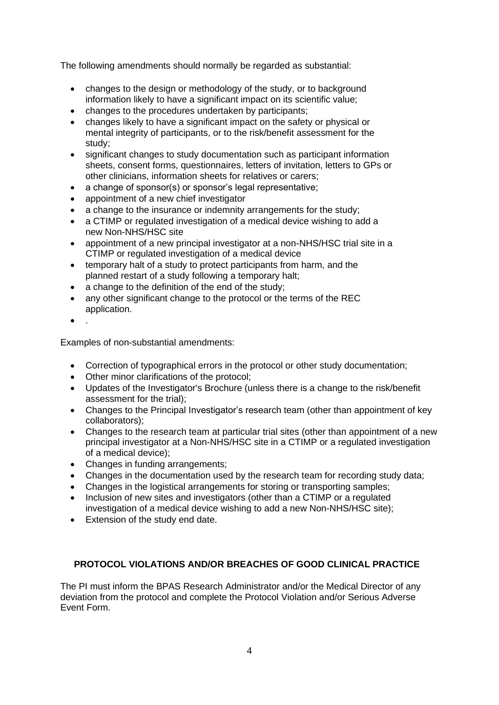The following amendments should normally be regarded as substantial:

- changes to the design or methodology of the study, or to background information likely to have a significant impact on its scientific value;
- changes to the procedures undertaken by participants;
- changes likely to have a significant impact on the safety or physical or mental integrity of participants, or to the risk/benefit assessment for the study;
- significant changes to study documentation such as participant information sheets, consent forms, questionnaires, letters of invitation, letters to GPs or other clinicians, information sheets for relatives or carers;
- a change of sponsor(s) or sponsor's legal representative;
- appointment of a new chief investigator
- a change to the insurance or indemnity arrangements for the study:
- a CTIMP or regulated investigation of a medical device wishing to add a new Non-NHS/HSC site
- appointment of a new principal investigator at a non-NHS/HSC trial site in a CTIMP or regulated investigation of a medical device
- temporary halt of a study to protect participants from harm, and the planned restart of a study following a temporary halt;
- a change to the definition of the end of the study;
- any other significant change to the protocol or the terms of the REC application.
- .

Examples of non-substantial amendments:

- Correction of typographical errors in the protocol or other study documentation;
- Other minor clarifications of the protocol;
- Updates of the Investigator's Brochure (unless there is a change to the risk/benefit assessment for the trial);
- Changes to the Principal Investigator's research team (other than appointment of key collaborators);
- Changes to the research team at particular trial sites (other than appointment of a new principal investigator at a Non-NHS/HSC site in a CTIMP or a regulated investigation of a medical device);
- Changes in funding arrangements;
- Changes in the documentation used by the research team for recording study data;
- Changes in the logistical arrangements for storing or transporting samples;
- Inclusion of new sites and investigators (other than a CTIMP or a regulated investigation of a medical device wishing to add a new Non-NHS/HSC site);
- Extension of the study end date.

## **PROTOCOL VIOLATIONS AND/OR BREACHES OF GOOD CLINICAL PRACTICE**

The PI must inform the BPAS Research Administrator and/or the Medical Director of any deviation from the protocol and complete the Protocol Violation and/or Serious Adverse Event Form.